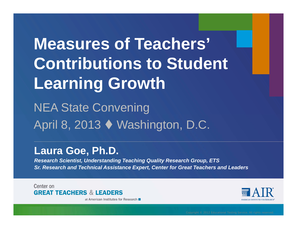## **Measures of Teachers' Contributions to Student Learning Growth**

NEA State Convening April 8, 2013 Washington, D.C.

#### **Laura Goe, Ph.D.**

*Research Scientist, Understanding Teaching Quality Research Group, ETS Sr. Research and Technical Assistance Expert, Center for Great Teachers and Leaders*

Center on **GREAT TEACHERS & LEADERS** 

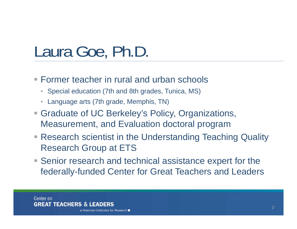## Laura Goe, Ph.D.

- Former teacher in rural and urban schools
	- Special education (7th and 8th grades, Tunica, MS)
	- •Language arts (7th grade, Memphis, TN)
- Graduate of UC Berkeley's Policy, Organizations, Measurement, and Evaluation doctoral program
- **Research scientist in the Understanding Teaching Quality** Research Group at ETS
- Senior research and technical assistance expert for the federally-funded Center for Great Teachers and Leaders

Center on **GREAT TEACHERS & LEADERS**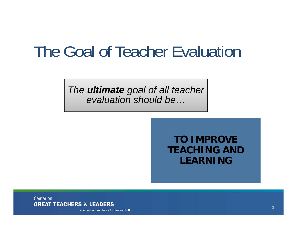## The Goal of Teacher Evaluation

*The ultimate goal of all teacher evaluation should be…*

> **TO IMPROVE TEACHING AND LEARNING**

Center on **GREAT TEACHERS & LEADERS**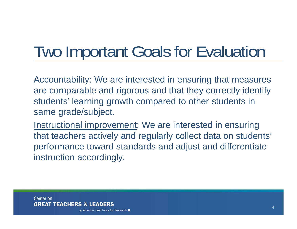## Two Important Goals for Evaluation

Accountability: We are interested in ensuring that measures are comparable and rigorous and that they correctly identify students' learning growth compared to other students in same grade/subject.

Instructional improvement: We are interested in ensuring that teachers actively and regularly collect data on students' performance toward standards and adjust and differentiate instruction accordingly.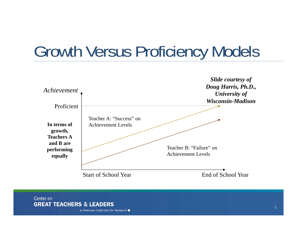## Growth Versus Proficiency Models



Center on **GREAT TEACHERS & LEADERS**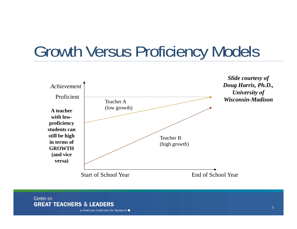## Growth Versus Proficiency Models



Center on **GREAT TEACHERS & LEADERS**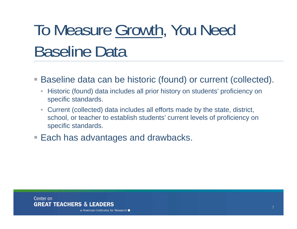# To Measure Growth, You Need Baseline Data

 $\mathcal{L}_{\mathcal{A}}$ Baseline data can be historic (found) or current (collected).

- $\bullet$  Historic (found) data includes all prior history on students' proficiency on specific standards.
- $\bullet$  Current (collected) data includes all efforts made by the state, district, school, or teacher to establish students' current levels of proficiency on specific standards.
- Each has advantages and drawbacks.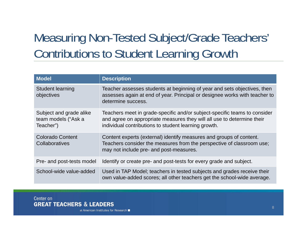### Measuring Non-Tested Subject/Grade Teachers' Contributions to Student Learning Growth

| <b>Model</b>                                                | <b>Description</b>                                                                                                                                                                                          |
|-------------------------------------------------------------|-------------------------------------------------------------------------------------------------------------------------------------------------------------------------------------------------------------|
| <b>Student learning</b><br>objectives                       | Teacher assesses students at beginning of year and sets objectives, then<br>assesses again at end of year. Principal or designee works with teacher to<br>determine success.                                |
| Subject and grade alike<br>team models ("Ask a<br>Teacher") | Teachers meet in grade-specific and/or subject-specific teams to consider<br>and agree on appropriate measures they will all use to determine their<br>individual contributions to student learning growth. |
| Colorado Content<br>Collaboratives                          | Content experts (external) identify measures and groups of content.<br>Teachers consider the measures from the perspective of classroom use;<br>may not include pre- and post-measures.                     |
| Pre- and post-tests model                                   | Identify or create pre- and post-tests for every grade and subject.                                                                                                                                         |
| School-wide value-added                                     | Used in TAP Model; teachers in tested subjects and grades receive their<br>own value-added scores; all other teachers get the school-wide average.                                                          |

Center on **GREAT TEACHERS & LEADERS**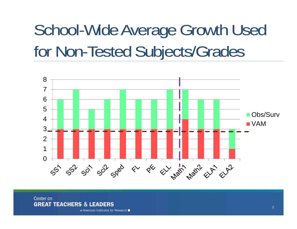## School-Wide Average Growth Used for Non-Tested Subjects/Grades



#### Center on **GREAT TEACHERS & LEADERS**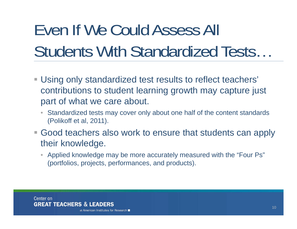# Even If We Could Assess All Students With Standardized Tests…

- Using only standardized test results to reflect teachers' contributions to student learning growth may capture just part of what we care about.
	- $\bullet$  Standardized tests may cover only about one half of the content standards (Polikoff et al, 2011).
- **Good teachers also work to ensure that students can apply** their knowledge.
	- $\bullet$  Applied knowledge may be more accurately measured with the "Four Ps" (portfolios, projects, performances, and products).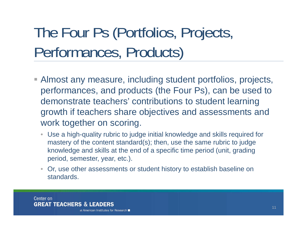## The Four Ps (Portfolios, Projects, Performances, Products)

- Almost any measure, including student portfolios, projects, performances, and products (the Four Ps), can be used to demonstrate teachers' contributions to student learning growth if teachers share objectives and assessments and work together on scoring.
	- Use a high-quality rubric to judge initial knowledge and skills required for mastery of the content standard(s); then, use the same rubric to judge knowledge and skills at the end of a specific time period (unit, grading period, semester, year, etc.).
	- • Or, use other assessments or student history to establish baseline on standards.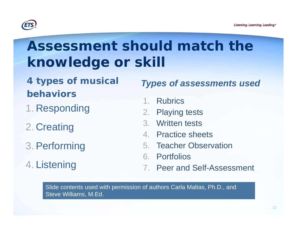

### **Assessment should match the knowledge or skill**

- *4 types of musical behaviors*
- 1. Responding
- 2. Creating
- 3.Performing
- 4. Listening

#### *Types of assessments used*

- 1. Rubrics
- 2. Playing tests
- 3. Written tests
- 4. Practice sheets
- 5. Teacher Observation
- 6. Portfolios
- 7. Peer and Self-Assessment

Slide contents used with permission of authors Carla Maltas, Ph.D., and Steve Williams, M.Ed.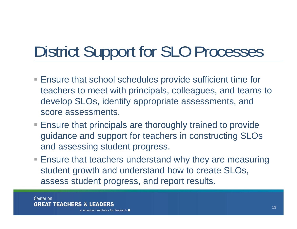## District Support for SLO Processes

- Ensure that school schedules provide sufficient time for teachers to meet with principals, colleagues, and teams to develop SLOs, identify appropriate assessments, and score assessments.
- Ensure that principals are thoroughly trained to provide guidance and support for teachers in constructing SLOs and assessing student progress.
- **Ensure that teachers understand why they are measuring** student growth and understand how to create SLOs, assess student progress, and report results.

Center on **GREAT TEACHERS & LEADERS**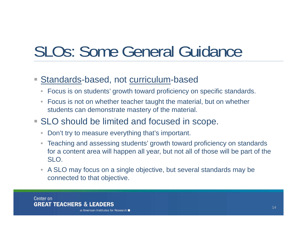## SLOs: Some General Guidance

#### Standards-based, not curriculum-based

- $\bullet$ Focus is on students' growth toward proficiency on specific standards.
- • Focus is not on whether teacher taught the material, but on whether students can demonstrate mastery of the material.
- **SLO** should be limited and focused in scope.
	- •Don't try to measure everything that's important.
	- $\bullet$  Teaching and assessing students' growth toward proficiency on standards for a content area will happen all year, but not all of those will be part of the SLO.
	- A SLO may focus on a single objective, but several standards may be connected to that objective.

Center on **GREAT TEACHERS & LEADERS**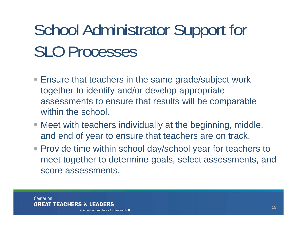# School Administrator Support for SLO Processes

- **Ensure that teachers in the same grade/subject work** together to identify and/or develop appropriate assessments to ensure that results will be comparable within the school.
- Meet with teachers individually at the beginning, middle, and end of year to ensure that teachers are on track.
- **Provide time within school day/school year for teachers to** meet together to determine goals, select assessments, and score assessments.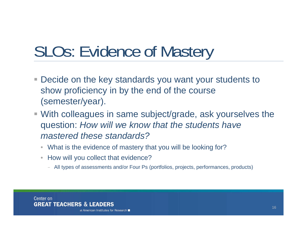## SLOs: Evidence of Mastery

- Decide on the key standards you want your students to show proficiency in by the end of the course (semester/year).
- With colleagues in same subject/grade, ask yourselves the question: *How will we know that the students have mastered these standards?*
	- What is the evidence of mastery that you will be looking for?
	- $\bullet$  How will you collect that evidence?
		- All types of assessments and/or Four Ps (portfolios, projects, performances, products)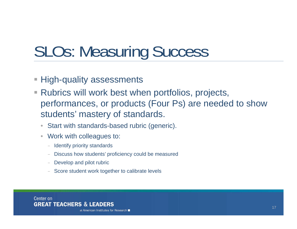## SLOs: Measuring Success

- **High-quality assessments**
- Rubrics will work best when portfolios, projects, performances, or products (Four Ps) are needed to show students' mastery of standards.
	- •Start with standards-based rubric (generic).
	- $\bullet$  Work with colleagues to:
		- Identify priority standards
		- Discuss how students' proficiency could be measured
		- Develop and pilot rubric
		- Score student work together to calibrate levels

Center on **GREAT TEACHERS & LEADERS**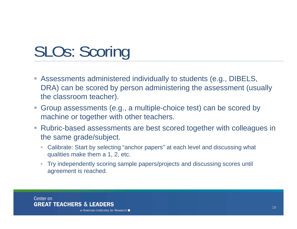## SLOs: Scoring

- Assessments administered individually to students (e.g., DIBELS, DRA) can be scored by person administering the assessment (usually the classroom teacher).
- $\mathcal{L}_{\mathcal{A}}$  Group assessments (e.g., a multiple-choice test) can be scored by machine or together with other teachers.
- $\mathcal{L}_{\mathcal{A}}$  Rubric-based assessments are best scored together with colleagues in the same grade/subject.
	- Calibrate: Start by selecting "anchor papers" at each level and discussing what qualities make them a 1, 2, etc.
	- $\bullet$  Try independently scoring sample papers/projects and discussing scores until agreement is reached.

Center on **GREAT TEACHERS & LEADERS**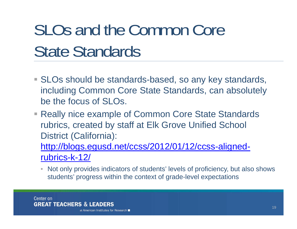# SLOs and the Common Core State Standards

- SLOs should be standards-based, so any key standards, including Common Core State Standards, can absolutely be the focus of SLOs.
- Really nice example of Common Core State Standards rubrics, created by staff at Elk Grove Unified School District (California):

http://blogs.egusd.net/ccss/2012/01/12/ccss-alignedrubrics-k-12/

 $\bullet$  Not only provides indicators of students' levels of proficiency, but also shows students' progress within the context of grade-level expectations

Center on **GREAT TEACHERS & LEADERS**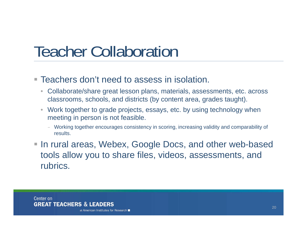## Teacher Collaboration

- **Teachers don't need to assess in isolation.** 
	- $\bullet$  Collaborate/share great lesson plans, materials, assessments, etc. across classrooms, schools, and districts (by content area, grades taught).
	- $\bullet$  Work together to grade projects, essays, etc. by using technology when meeting in person is not feasible.
		- Working together encourages consistency in scoring, increasing validity and comparability of results.
- In rural areas, Webex, Google Docs, and other web-based tools allow you to share files, videos, assessments, and rubrics.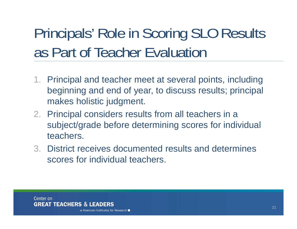## Principals' Role in Scoring SLO Results as Part of Teacher Evaluation

- 1. Principal and teacher meet at several points, including beginning and end of year, to discuss results; principal makes holistic judgment.
- 2. Principal considers results from all teachers in a subject/grade before determining scores for individual teachers.
- 3. District receives documented results and determines scores for individual teachers.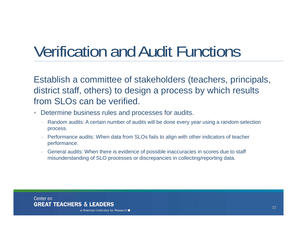## Verification and Audit Functions

Establish a committee of stakeholders (teachers, principals, district staff, others) to design a process by which results from SLOs can be verified.

- $\bullet$  Determine business rules and processes for audits.
	- Random audits: A certain number of audits will be done every year using a random selection process.
	- Performance audits: When data from SLOs fails to align with other indicators of teacher performance.
	- – General audits: When there is evidence of possible inaccuracies in scores due to staff misunderstanding of SLO processes or discrepancies in collecting/reporting data.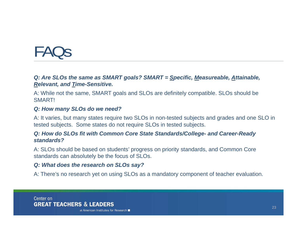## FAQs

#### *Q: Are SLOs the same as SMART goals? SMART = Specific, Measureable, Attainable, Relevant, and Time-Sensitive.*

A: While not the same, SMART goals and SLOs are definitely compatible. SLOs should be **SMARTI** 

#### *Q: How many SLOs do we need?*

A: It varies, but many states require two SLOs in non-tested subjects and grades and one SLO in tested subjects. Some states do not require SLOs in tested subjects.

#### *Q: How do SLOs fit with Common Core State Standards/College- and Career-Ready standards?*

A: SLOs should be based on students' progress on priority standards, and Common Core standards can absolutely be the focus of SLOs.

#### *Q: What does the research on SLOs say?*

A: There's no research yet on using SLOs as a mandatory component of teacher evaluation.

Center on **GREAT TEACHERS & LEADERS**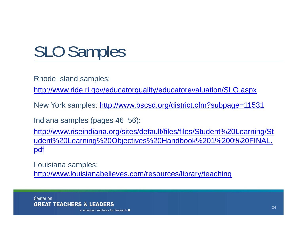## SLO Samples

Rhode Island samples:

http://www.ride.ri.gov/educatorquality/educatorevaluation/SLO.aspx

New York samples: http://www.bscsd.org/district.cfm?subpage=11531

Indiana samples (pages 46–56):

http://www.riseindiana.org/sites/default/files/files/Student%20Learning/St udent%20Learning%20Objectives%20Handbook%201%200%20FINAL. pdf

Louisiana samples: http://www.louisianabelieves.com/resources/library/teaching

Center on **GREAT TEACHERS & LEADERS**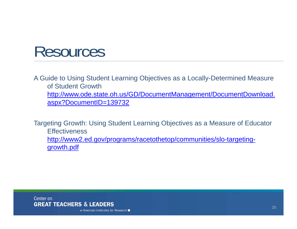### Resources

A Guide to Using Student Learning Objectives as a Locally-Determined Measure of Student Growth http://www.ode.state.oh.us/GD/DocumentManagement/DocumentDownload. aspx?DocumentID=139732

Targeting Growth: Using Student Learning Objectives as a Measure of Educator **Effectiveness** http://www2.ed.gov/programs/racetothetop/communities/slo-targetinggrowth.pdf

Center on **GREAT TEACHERS & LEADERS**